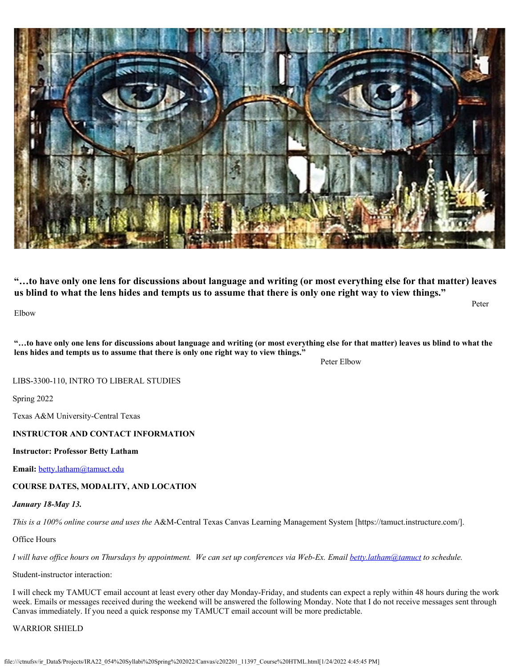

**"…to have only one lens for discussions about language and writing (or most everything else for that matter) leaves us blind to what the lens hides and tempts us to assume that there is only one right way to view things."**

Elbow

**"…to have only one lens for discussions about language and writing (or most everything else for that matter) leaves us blind to what the lens hides and tempts us to assume that there is only one right way to view things."** 

Peter Elbow

Peter

LIBS-3300-110, INTRO TO LIBERAL STUDIES

Spring 2022

Texas A&M University-Central Texas

# **INSTRUCTOR AND CONTACT INFORMATION**

### **Instructor: Professor Betty Latham**

**Email:** [betty.latham@tamuct.edu](mailto:betty.latham@tamuct.edu)

**COURSE DATES, MODALITY, AND LOCATION**

# *January 18-May 13.*

*This is a 100% online course and uses the* A&M-Central Texas Canvas Learning Management System [https://tamuct.instructure.com/].

Office Hours

*I will have office hours on Thursdays by appointment. We can set up conferences via Web-Ex. Email [betty.latham@tamuct](mailto:betty.latham@tamuct) to schedule.*

Student-instructor interaction:

I will check my TAMUCT email account at least every other day Monday-Friday, and students can expect a reply within 48 hours during the work week. Emails or messages received during the weekend will be answered the following Monday. Note that I do not receive messages sent through Canvas immediately. If you need a quick response my TAMUCT email account will be more predictable.

# WARRIOR SHIELD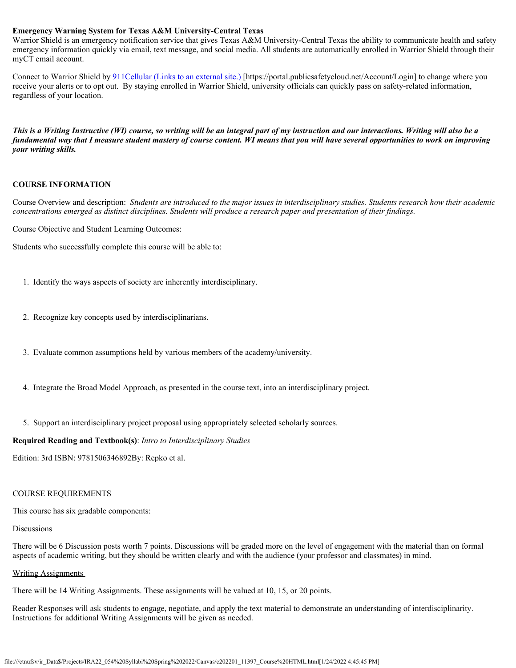### **Emergency Warning System for Texas A&M University-Central Texas**

Warrior Shield is an emergency notification service that gives Texas A&M University-Central Texas the ability to communicate health and safety emergency information quickly via email, text message, and social media. All students are automatically enrolled in Warrior Shield through their myCT email account.

Connect to Warrior Shield by 911Cellular [\(Links to an external site.\)](https://portal.publicsafetycloud.net/Texas-AM-Central/alert-management) [https://portal.publicsafetycloud.net/Account/Login] to change where you receive your alerts or to opt out. By staying enrolled in Warrior Shield, university officials can quickly pass on safety-related information, regardless of your location.

*This is a Writing Instructive (WI) course, so writing will be an integral part of my instruction and our interactions. Writing will also be a fundamental way that I measure student mastery of course content. WI means that you will have several opportunities to work on improving your writing skills.*

#### **COURSE INFORMATION**

Course Overview and description: *Students are introduced to the major issues in interdisciplinary studies. Students research how their academic concentrations emerged as distinct disciplines. Students will produce a research paper and presentation of their findings.*

Course Objective and Student Learning Outcomes:

Students who successfully complete this course will be able to:

- 1. Identify the ways aspects of society are inherently interdisciplinary.
- 2. Recognize key concepts used by interdisciplinarians.
- 3. Evaluate common assumptions held by various members of the academy/university.
- 4. Integrate the Broad Model Approach, as presented in the course text, into an interdisciplinary project.
- 5. Support an interdisciplinary project proposal using appropriately selected scholarly sources.

### **Required Reading and Textbook(s)**: *Intro to Interdisciplinary Studies*

Edition: 3rd ISBN: 9781506346892By: Repko et al.

### COURSE REQUIREMENTS

This course has six gradable components:

### Discussions

There will be 6 Discussion posts worth 7 points. Discussions will be graded more on the level of engagement with the material than on formal aspects of academic writing, but they should be written clearly and with the audience (your professor and classmates) in mind.

### Writing Assignments

There will be 14 Writing Assignments. These assignments will be valued at 10, 15, or 20 points.

Reader Responses will ask students to engage, negotiate, and apply the text material to demonstrate an understanding of interdisciplinarity. Instructions for additional Writing Assignments will be given as needed.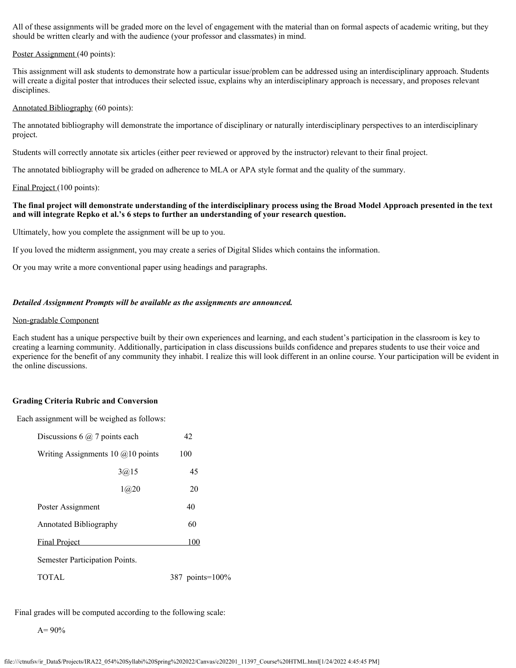All of these assignments will be graded more on the level of engagement with the material than on formal aspects of academic writing, but they should be written clearly and with the audience (your professor and classmates) in mind.

#### Poster Assignment (40 points):

This assignment will ask students to demonstrate how a particular issue/problem can be addressed using an interdisciplinary approach. Students will create a digital poster that introduces their selected issue, explains why an interdisciplinary approach is necessary, and proposes relevant disciplines.

#### Annotated Bibliography (60 points):

The annotated bibliography will demonstrate the importance of disciplinary or naturally interdisciplinary perspectives to an interdisciplinary project.

Students will correctly annotate six articles (either peer reviewed or approved by the instructor) relevant to their final project.

The annotated bibliography will be graded on adherence to MLA or APA style format and the quality of the summary.

#### Final Project (100 points):

# **The final project will demonstrate understanding of the interdisciplinary process using the Broad Model Approach presented in the text and will integrate Repko et al.'s 6 steps to further an understanding of your research question.**

Ultimately, how you complete the assignment will be up to you.

If you loved the midterm assignment, you may create a series of Digital Slides which contains the information.

Or you may write a more conventional paper using headings and paragraphs.

#### *Detailed Assignment Prompts will be available as the assignments are announced.*

#### Non-gradable Component

Each student has a unique perspective built by their own experiences and learning, and each student's participation in the classroom is key to creating a learning community. Additionally, participation in class discussions builds confidence and prepares students to use their voice and experience for the benefit of any community they inhabit. I realize this will look different in an online course. Your participation will be evident in the online discussions.

### **Grading Criteria Rubric and Conversion**

Each assignment will be weighed as follows:

| Discussions 6 $@$ 7 points each     |        | 42              |
|-------------------------------------|--------|-----------------|
| Writing Assignments 10 $@10$ points |        | 100             |
|                                     | 3(a)15 | 45              |
|                                     | 1@20   | 20              |
| Poster Assignment                   |        | 40              |
| <b>Annotated Bibliography</b>       |        | 60              |
| <b>Final Project</b>                |        | 100             |
| Semester Participation Points.      |        |                 |
| TOTAL                               |        | 387 points=100% |

Final grades will be computed according to the following scale:

 $A= 90%$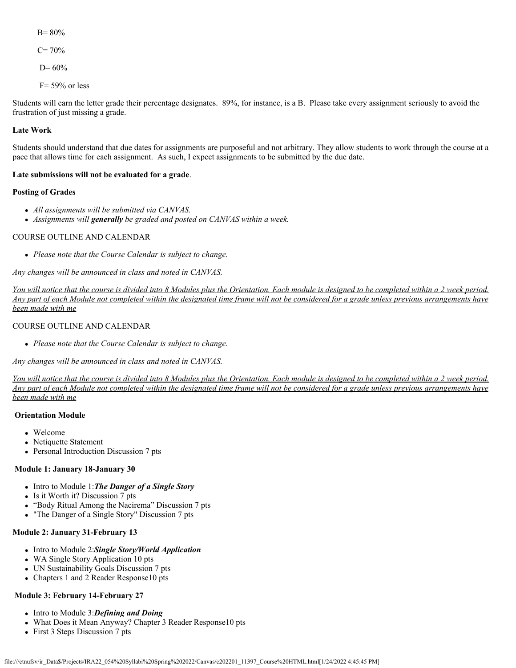B= 80%  $C= 70%$  $D= 60%$ 

 $F= 59\%$  or less

Students will earn the letter grade their percentage designates. 89%, for instance, is a B. Please take every assignment seriously to avoid the frustration of just missing a grade.

# **Late Work**

Students should understand that due dates for assignments are purposeful and not arbitrary. They allow students to work through the course at a pace that allows time for each assignment. As such, I expect assignments to be submitted by the due date.

# **Late submissions will not be evaluated for a grade**.

# **Posting of Grades**

- *All assignments will be submitted via CANVAS.*
- *Assignments will generally be graded and posted on CANVAS within a week.*

# COURSE OUTLINE AND CALENDAR

*Please note that the Course Calendar is subject to change.*

*Any changes will be announced in class and noted in CANVAS.*

*You will notice that the course is divided into 8 Modules plus the Orientation. Each module is designed to be completed within a 2 week period. Any part of each Module not completed within the designated time frame will not be considered for a grade unless previous arrangements have been made with me*

# COURSE OUTLINE AND CALENDAR

*Please note that the Course Calendar is subject to change.*

*Any changes will be announced in class and noted in CANVAS.*

*You will notice that the course is divided into 8 Modules plus the Orientation. Each module is designed to be completed within a 2 week period. Any part of each Module not completed within the designated time frame will not be considered for a grade unless previous arrangements have been made with me*

# **Orientation Module**

- Welcome
- Netiquette Statement
- Personal Introduction Discussion 7 pts

### **Module 1: January 18-January 30**

- Intro to Module 1: The Danger of a Single Story
- Is it Worth it? Discussion 7 pts
- "Body Ritual Among the Nacirema" Discussion 7 pts
- "The Danger of a Single Story" Discussion 7 pts

# **Module 2: January 31-February 13**

- Intro to Module 2:Single Story/World Application
- WA Single Story Application 10 pts
- UN Sustainability Goals Discussion 7 pts
- Chapters 1 and 2 Reader Response10 pts

# **Module 3: February 14-February 27**

- Intro to Module 3:**Defining and Doing**
- What Does it Mean Anyway? Chapter 3 Reader Response10 pts
- First 3 Steps Discussion 7 pts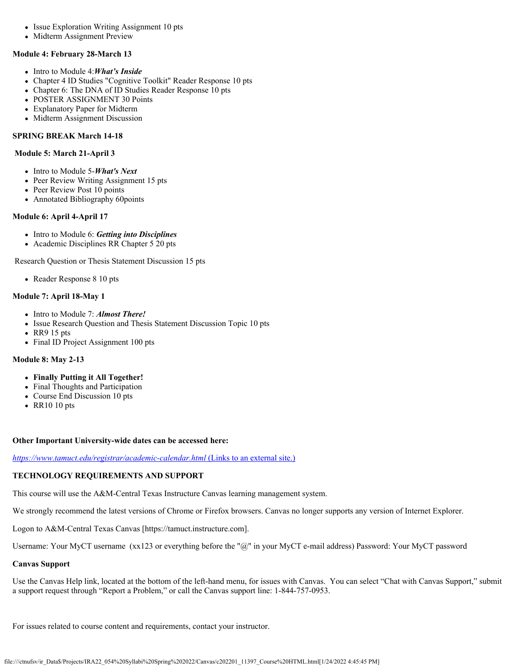- Issue Exploration Writing Assignment 10 pts
- Midterm Assignment Preview

### **Module 4: February 28-March 13**

- Intro to Module 4:*What's Inside*
- Chapter 4 ID Studies "Cognitive Toolkit" Reader Response 10 pts
- Chapter 6: The DNA of ID Studies Reader Response 10 pts
- POSTER ASSIGNMENT 30 Points
- Explanatory Paper for Midterm
- Midterm Assignment Discussion

# **SPRING BREAK March 14-18**

### **Module 5: March 21-April 3**

- Intro to Module 5-*What's Next*
- Peer Review Writing Assignment 15 pts
- Peer Review Post 10 points
- Annotated Bibliography 60points

# **Module 6: April 4-April 17**

- Intro to Module 6: *Getting into Disciplines*
- Academic Disciplines RR Chapter 5 20 pts

Research Question or Thesis Statement Discussion 15 pts

• Reader Response 8 10 pts

# **Module 7: April 18-May 1**

- Intro to Module 7: **Almost There!**
- Issue Research Question and Thesis Statement Discussion Topic 10 pts
- RR9 15 pts
- Final ID Project Assignment 100 pts

# **Module 8: May 2-13**

- **Finally Putting it All Together!**
- Final Thoughts and Participation
- Course End Discussion 10 pts
- RR10 10 pts

### **Other Important University-wide dates can be accessed here:**

*<https://www.tamuct.edu/registrar/academic-calendar.html>* [\(Links to an external site.\)](https://www.tamuct.edu/registrar/academic-calendar.html)

# **TECHNOLOGY REQUIREMENTS AND SUPPORT**

This course will use the A&M-Central Texas Instructure Canvas learning management system.

We strongly recommend the latest versions of Chrome or Firefox browsers. Canvas no longer supports any version of Internet Explorer.

Logon to A&M-Central Texas Canvas [https://tamuct.instructure.com].

Username: Your MyCT username (xx123 or everything before the "@" in your MyCT e-mail address) Password: Your MyCT password

### **Canvas Support**

Use the Canvas Help link, located at the bottom of the left-hand menu, for issues with Canvas. You can select "Chat with Canvas Support," submit a support request through "Report a Problem," or call the Canvas support line: 1-844-757-0953.

For issues related to course content and requirements, contact your instructor.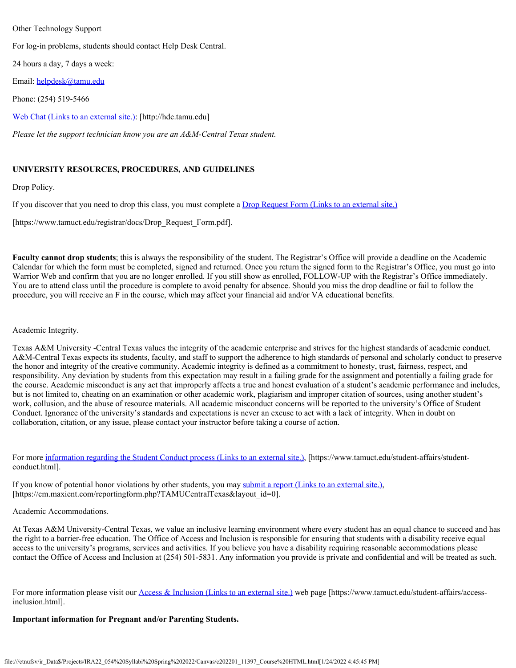### Other Technology Support

For log-in problems, students should contact Help Desk Central.

24 hours a day, 7 days a week:

Email: [helpdesk@tamu.edu](mailto:helpdesk@tamu.edu)

Phone: (254) 519-5466

Web Chat [\(Links to an external site.\)](http://hdc.tamu.edu/): [http://hdc.tamu.edu]

*Please let the support technician know you are an A&M-Central Texas student.*

# **UNIVERSITY RESOURCES, PROCEDURES, AND GUIDELINES**

Drop Policy.

If you discover that you need to drop this class, you must complete a Drop Request Form [\(Links to an external site.\)](https://www.tamuct.edu/registrar/docs/Drop_Request_Form.pdf)

[https://www.tamuct.edu/registrar/docs/Drop\_Request\_Form.pdf].

**Faculty cannot drop students**; this is always the responsibility of the student. The Registrar's Office will provide a deadline on the Academic Calendar for which the form must be completed, signed and returned. Once you return the signed form to the Registrar's Office, you must go into Warrior Web and confirm that you are no longer enrolled. If you still show as enrolled, FOLLOW-UP with the Registrar's Office immediately. You are to attend class until the procedure is complete to avoid penalty for absence. Should you miss the drop deadline or fail to follow the procedure, you will receive an F in the course, which may affect your financial aid and/or VA educational benefits.

# Academic Integrity.

Texas A&M University -Central Texas values the integrity of the academic enterprise and strives for the highest standards of academic conduct. A&M-Central Texas expects its students, faculty, and staff to support the adherence to high standards of personal and scholarly conduct to preserve the honor and integrity of the creative community. Academic integrity is defined as a commitment to honesty, trust, fairness, respect, and responsibility. Any deviation by students from this expectation may result in a failing grade for the assignment and potentially a failing grade for the course. Academic misconduct is any act that improperly affects a true and honest evaluation of a student's academic performance and includes, but is not limited to, cheating on an examination or other academic work, plagiarism and improper citation of sources, using another student's work, collusion, and the abuse of resource materials. All academic misconduct concerns will be reported to the university's Office of Student Conduct. Ignorance of the university's standards and expectations is never an excuse to act with a lack of integrity. When in doubt on collaboration, citation, or any issue, please contact your instructor before taking a course of action.

For more [information regarding the Student Conduct process](https://www.tamuct.edu/student-affairs/student-conduct.html) (Links to an external site.), [https://www.tamuct.edu/student-affairs/studentconduct.html].

If you know of potential honor violations by other students, you may submit a report [\(Links to an external site.\)](https://cm.maxient.com/reportingform.php?TAMUCentralTexas&layout_id=0), [https://cm.maxient.com/reportingform.php?TAMUCentralTexas&layout\_id=0].

### Academic Accommodations.

At Texas A&M University-Central Texas, we value an inclusive learning environment where every student has an equal chance to succeed and has the right to a barrier-free education. The Office of Access and Inclusion is responsible for ensuring that students with a disability receive equal access to the university's programs, services and activities. If you believe you have a disability requiring reasonable accommodations please contact the Office of Access and Inclusion at (254) 501-5831. Any information you provide is private and confidential and will be treated as such.

For more information please visit our Access & Inclusion [\(Links to an external site.\)](https://www.tamuct.edu/student-affairs/access-inclusion.html) web page [https://www.tamuct.edu/student-affairs/accessinclusion.html].

### **Important information for Pregnant and/or Parenting Students.**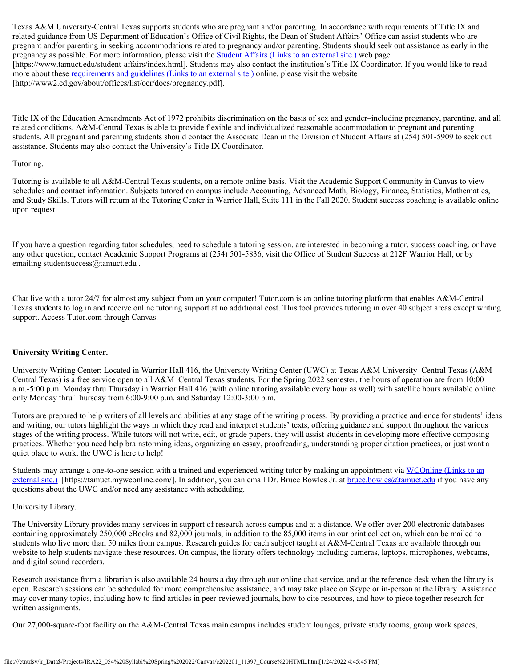Texas A&M University-Central Texas supports students who are pregnant and/or parenting. In accordance with requirements of Title IX and related guidance from US Department of Education's Office of Civil Rights, the Dean of Student Affairs' Office can assist students who are pregnant and/or parenting in seeking accommodations related to pregnancy and/or parenting. Students should seek out assistance as early in the pregnancy as possible. For more information, please visit the **Student Affairs [\(Links to an external site.\)](https://www.tamuct.edu/student-affairs/index.html)** web page [https://www.tamuct.edu/student-affairs/index.html]. Students may also contact the institution's Title IX Coordinator. If you would like to read more about these [requirements and guidelines](http://www2.ed.gov/about/offices/list/ocr/docs/pregnancy.pdf) (Links to an external site.) online, please visit the website [http://www2.ed.gov/about/offices/list/ocr/docs/pregnancy.pdf].

Title IX of the Education Amendments Act of 1972 prohibits discrimination on the basis of sex and gender–including pregnancy, parenting, and all related conditions. A&M-Central Texas is able to provide flexible and individualized reasonable accommodation to pregnant and parenting students. All pregnant and parenting students should contact the Associate Dean in the Division of Student Affairs at (254) 501-5909 to seek out assistance. Students may also contact the University's Title IX Coordinator.

### Tutoring.

Tutoring is available to all A&M-Central Texas students, on a remote online basis. Visit the Academic Support Community in Canvas to view schedules and contact information. Subjects tutored on campus include Accounting, Advanced Math, Biology, Finance, Statistics, Mathematics, and Study Skills. Tutors will return at the Tutoring Center in Warrior Hall, Suite 111 in the Fall 2020. Student success coaching is available online upon request.

If you have a question regarding tutor schedules, need to schedule a tutoring session, are interested in becoming a tutor, success coaching, or have any other question, contact Academic Support Programs at (254) 501-5836, visit the Office of Student Success at 212F Warrior Hall, or by emailing studentsuccess@tamuct.edu .

Chat live with a tutor 24/7 for almost any subject from on your computer! Tutor.com is an online tutoring platform that enables A&M-Central Texas students to log in and receive online tutoring support at no additional cost. This tool provides tutoring in over 40 subject areas except writing support. Access Tutor.com through Canvas.

# **University Writing Center.**

University Writing Center: Located in Warrior Hall 416, the University Writing Center (UWC) at Texas A&M University–Central Texas (A&M– Central Texas) is a free service open to all A&M–Central Texas students. For the Spring 2022 semester, the hours of operation are from 10:00 a.m.-5:00 p.m. Monday thru Thursday in Warrior Hall 416 (with online tutoring available every hour as well) with satellite hours available online only Monday thru Thursday from 6:00-9:00 p.m. and Saturday 12:00-3:00 p.m.

Tutors are prepared to help writers of all levels and abilities at any stage of the writing process. By providing a practice audience for students' ideas and writing, our tutors highlight the ways in which they read and interpret students' texts, offering guidance and support throughout the various stages of the writing process. While tutors will not write, edit, or grade papers, they will assist students in developing more effective composing practices. Whether you need help brainstorming ideas, organizing an essay, proofreading, understanding proper citation practices, or just want a quiet place to work, the UWC is here to help!

Students may arrange a one-to-one session with a trained and experienced writing tutor by making an appointment via WCOnline [\(Links to an](https://tamuct.mywconline.com/) [external site.\)](https://tamuct.mywconline.com/) [https://tamuct.mywconline.com/]. In addition, you can email Dr. Bruce Bowles Jr. at [bruce.bowles@tamuct.edu](mailto:bruce.bowles@tamuct.edu) if you have any questions about the UWC and/or need any assistance with scheduling.

### University Library.

The University Library provides many services in support of research across campus and at a distance. We offer over 200 electronic databases containing approximately 250,000 eBooks and 82,000 journals, in addition to the 85,000 items in our print collection, which can be mailed to students who live more than 50 miles from campus. Research guides for each subject taught at A&M-Central Texas are available through our website to help students navigate these resources. On campus, the library offers technology including cameras, laptops, microphones, webcams, and digital sound recorders.

Research assistance from a librarian is also available 24 hours a day through our online chat service, and at the reference desk when the library is open. Research sessions can be scheduled for more comprehensive assistance, and may take place on Skype or in-person at the library. Assistance may cover many topics, including how to find articles in peer-reviewed journals, how to cite resources, and how to piece together research for written assignments.

Our 27,000-square-foot facility on the A&M-Central Texas main campus includes student lounges, private study rooms, group work spaces,